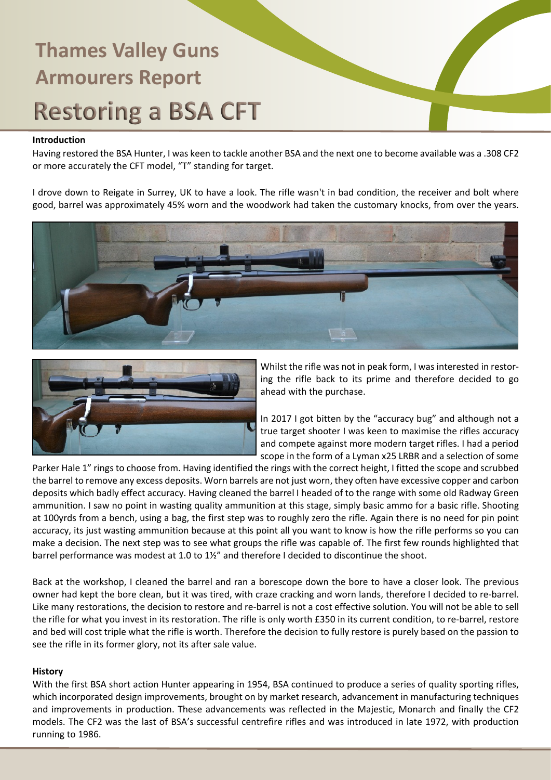### **Introduction**

Having restored the BSA Hunter, I was keen to tackle another BSA and the next one to become available was a .308 CF2 or more accurately the CFT model, "T" standing for target.

I drove down to Reigate in Surrey, UK to have a look. The rifle wasn't in bad condition, the receiver and bolt where good, barrel was approximately 45% worn and the woodwork had taken the customary knocks, from over the years.





Whilst the rifle was not in peak form, I was interested in restoring the rifle back to its prime and therefore decided to go ahead with the purchase.

In 2017 I got bitten by the "accuracy bug" and although not a true target shooter I was keen to maximise the rifles accuracy and compete against more modern target rifles. I had a period scope in the form of a Lyman x25 LRBR and a selection of some

Parker Hale 1" rings to choose from. Having identified the rings with the correct height, I fitted the scope and scrubbed the barrel to remove any excess deposits. Worn barrels are not just worn, they often have excessive copper and carbon deposits which badly effect accuracy. Having cleaned the barrel I headed of to the range with some old Radway Green ammunition. I saw no point in wasting quality ammunition at this stage, simply basic ammo for a basic rifle. Shooting at 100yrds from a bench, using a bag, the first step was to roughly zero the rifle. Again there is no need for pin point accuracy, its just wasting ammunition because at this point all you want to know is how the rifle performs so you can make a decision. The next step was to see what groups the rifle was capable of. The first few rounds highlighted that barrel performance was modest at 1.0 to 1½" and therefore I decided to discontinue the shoot.

Back at the workshop, I cleaned the barrel and ran a borescope down the bore to have a closer look. The previous owner had kept the bore clean, but it was tired, with craze cracking and worn lands, therefore I decided to re-barrel. Like many restorations, the decision to restore and re-barrel is not a cost effective solution. You will not be able to sell the rifle for what you invest in its restoration. The rifle is only worth £350 in its current condition, to re-barrel, restore and bed will cost triple what the rifle is worth. Therefore the decision to fully restore is purely based on the passion to see the rifle in its former glory, not its after sale value.

### **History**

With the first BSA short action Hunter appearing in 1954, BSA continued to produce a series of quality sporting rifles, which incorporated design improvements, brought on by market research, advancement in manufacturing techniques and improvements in production. These advancements was reflected in the Majestic, Monarch and finally the CF2 models. The CF2 was the last of BSA's successful centrefire rifles and was introduced in late 1972, with production running to 1986.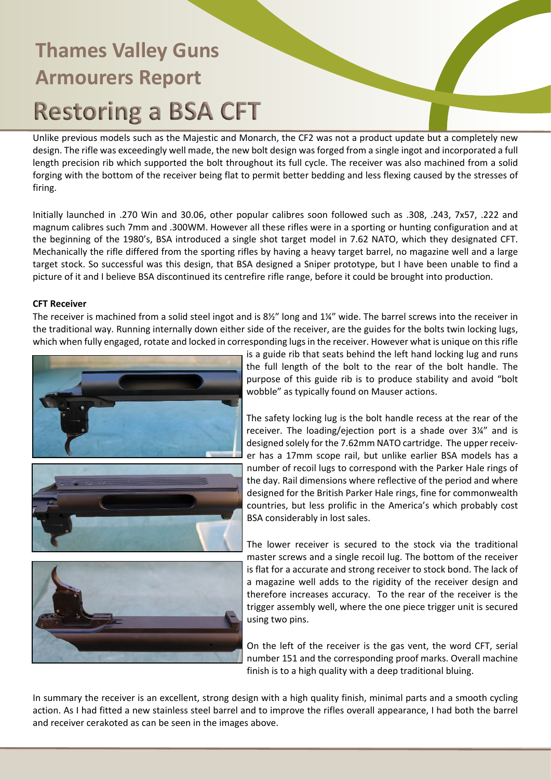Unlike previous models such as the Majestic and Monarch, the CF2 was not a product update but a completely new design. The rifle was exceedingly well made, the new bolt design was forged from a single ingot and incorporated a full length precision rib which supported the bolt throughout its full cycle. The receiver was also machined from a solid forging with the bottom of the receiver being flat to permit better bedding and less flexing caused by the stresses of firing.

Initially launched in .270 Win and 30.06, other popular calibres soon followed such as .308, .243, 7x57, .222 and magnum calibres such 7mm and .300WM. However all these rifles were in a sporting or hunting configuration and at the beginning of the 1980's, BSA introduced a single shot target model in 7.62 NATO, which they designated CFT. Mechanically the rifle differed from the sporting rifles by having a heavy target barrel, no magazine well and a large target stock. So successful was this design, that BSA designed a Sniper prototype, but I have been unable to find a picture of it and I believe BSA discontinued its centrefire rifle range, before it could be brought into production.

### **CFT Receiver**

The receiver is machined from a solid steel ingot and is 8½" long and 1¼" wide. The barrel screws into the receiver in the traditional way. Running internally down either side of the receiver, are the guides for the bolts twin locking lugs, which when fully engaged, rotate and locked in corresponding lugs in the receiver. However what is unique on this rifle





is a guide rib that seats behind the left hand locking lug and runs the full length of the bolt to the rear of the bolt handle. The purpose of this guide rib is to produce stability and avoid "bolt wobble" as typically found on Mauser actions.

The safety locking lug is the bolt handle recess at the rear of the receiver. The loading/ejection port is a shade over 3¼" and is designed solely for the 7.62mm NATO cartridge. The upper receiver has a 17mm scope rail, but unlike earlier BSA models has a number of recoil lugs to correspond with the Parker Hale rings of the day. Rail dimensions where reflective of the period and where designed for the British Parker Hale rings, fine for commonwealth countries, but less prolific in the America's which probably cost BSA considerably in lost sales.

The lower receiver is secured to the stock via the traditional master screws and a single recoil lug. The bottom of the receiver is flat for a accurate and strong receiver to stock bond. The lack of a magazine well adds to the rigidity of the receiver design and therefore increases accuracy. To the rear of the receiver is the trigger assembly well, where the one piece trigger unit is secured using two pins.

On the left of the receiver is the gas vent, the word CFT, serial number 151 and the corresponding proof marks. Overall machine finish is to a high quality with a deep traditional bluing.

In summary the receiver is an excellent, strong design with a high quality finish, minimal parts and a smooth cycling action. As I had fitted a new stainless steel barrel and to improve the rifles overall appearance, I had both the barrel and receiver cerakoted as can be seen in the images above.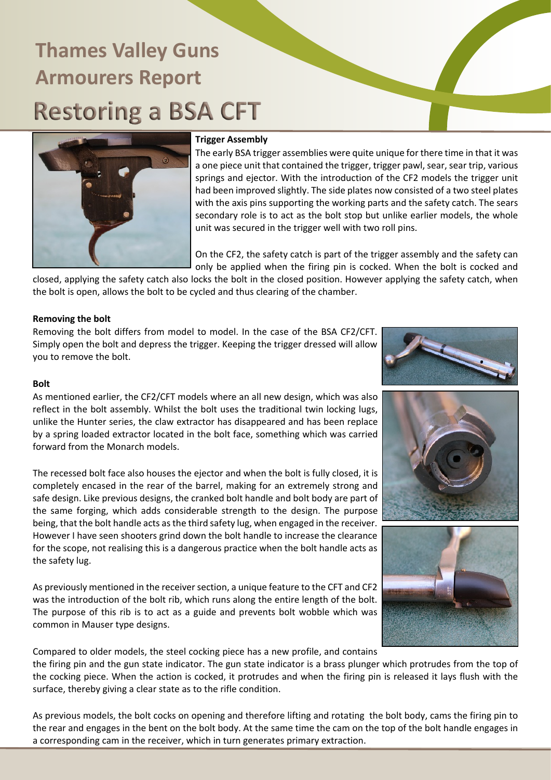

#### **Trigger Assembly**

The early BSA trigger assemblies were quite unique for there time in that it was a one piece unit that contained the trigger, trigger pawl, sear, sear trip, various springs and ejector. With the introduction of the CF2 models the trigger unit had been improved slightly. The side plates now consisted of a two steel plates with the axis pins supporting the working parts and the safety catch. The sears secondary role is to act as the bolt stop but unlike earlier models, the whole unit was secured in the trigger well with two roll pins.

On the CF2, the safety catch is part of the trigger assembly and the safety can only be applied when the firing pin is cocked. When the bolt is cocked and

closed, applying the safety catch also locks the bolt in the closed position. However applying the safety catch, when the bolt is open, allows the bolt to be cycled and thus clearing of the chamber.

#### **Removing the bolt**

Removing the bolt differs from model to model. In the case of the BSA CF2/CFT. Simply open the bolt and depress the trigger. Keeping the trigger dressed will allow you to remove the bolt.



#### **Bolt**

As mentioned earlier, the CF2/CFT models where an all new design, which was also reflect in the bolt assembly. Whilst the bolt uses the traditional twin locking lugs, unlike the Hunter series, the claw extractor has disappeared and has been replace by a spring loaded extractor located in the bolt face, something which was carried forward from the Monarch models.

The recessed bolt face also houses the ejector and when the bolt is fully closed, it is completely encased in the rear of the barrel, making for an extremely strong and safe design. Like previous designs, the cranked bolt handle and bolt body are part of the same forging, which adds considerable strength to the design. The purpose being, that the bolt handle acts as the third safety lug, when engaged in the receiver. However I have seen shooters grind down the bolt handle to increase the clearance for the scope, not realising this is a dangerous practice when the bolt handle acts as the safety lug.

As previously mentioned in the receiver section, a unique feature to the CFT and CF2 was the introduction of the bolt rib, which runs along the entire length of the bolt. The purpose of this rib is to act as a guide and prevents bolt wobble which was common in Mauser type designs.

Compared to older models, the steel cocking piece has a new profile, and contains the firing pin and the gun state indicator. The gun state indicator is a brass plunger which protrudes from the top of the cocking piece. When the action is cocked, it protrudes and when the firing pin is released it lays flush with the surface, thereby giving a clear state as to the rifle condition.

As previous models, the bolt cocks on opening and therefore lifting and rotating the bolt body, cams the firing pin to the rear and engages in the bent on the bolt body. At the same time the cam on the top of the bolt handle engages in a corresponding cam in the receiver, which in turn generates primary extraction.

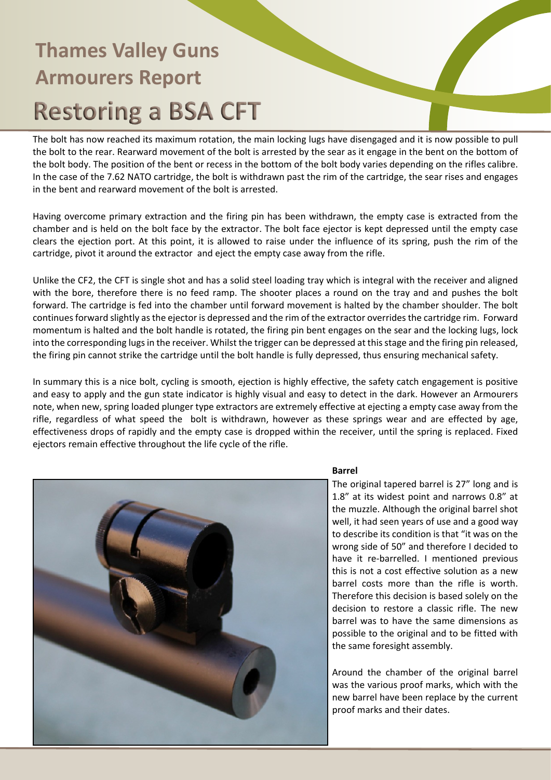The bolt has now reached its maximum rotation, the main locking lugs have disengaged and it is now possible to pull the bolt to the rear. Rearward movement of the bolt is arrested by the sear as it engage in the bent on the bottom of the bolt body. The position of the bent or recess in the bottom of the bolt body varies depending on the rifles calibre. In the case of the 7.62 NATO cartridge, the bolt is withdrawn past the rim of the cartridge, the sear rises and engages in the bent and rearward movement of the bolt is arrested.

Having overcome primary extraction and the firing pin has been withdrawn, the empty case is extracted from the chamber and is held on the bolt face by the extractor. The bolt face ejector is kept depressed until the empty case clears the ejection port. At this point, it is allowed to raise under the influence of its spring, push the rim of the cartridge, pivot it around the extractor and eject the empty case away from the rifle.

Unlike the CF2, the CFT is single shot and has a solid steel loading tray which is integral with the receiver and aligned with the bore, therefore there is no feed ramp. The shooter places a round on the tray and and pushes the bolt forward. The cartridge is fed into the chamber until forward movement is halted by the chamber shoulder. The bolt continues forward slightly as the ejector is depressed and the rim of the extractor overrides the cartridge rim. Forward momentum is halted and the bolt handle is rotated, the firing pin bent engages on the sear and the locking lugs, lock into the corresponding lugs in the receiver. Whilst the trigger can be depressed at this stage and the firing pin released, the firing pin cannot strike the cartridge until the bolt handle is fully depressed, thus ensuring mechanical safety.

In summary this is a nice bolt, cycling is smooth, ejection is highly effective, the safety catch engagement is positive and easy to apply and the gun state indicator is highly visual and easy to detect in the dark. However an Armourers note, when new, spring loaded plunger type extractors are extremely effective at ejecting a empty case away from the rifle, regardless of what speed the bolt is withdrawn, however as these springs wear and are effected by age, effectiveness drops of rapidly and the empty case is dropped within the receiver, until the spring is replaced. Fixed ejectors remain effective throughout the life cycle of the rifle.



#### **Barrel**

The original tapered barrel is 27" long and is 1.8" at its widest point and narrows 0.8" at the muzzle. Although the original barrel shot well, it had seen years of use and a good way to describe its condition is that "it was on the wrong side of 50" and therefore I decided to have it re-barrelled. I mentioned previous this is not a cost effective solution as a new barrel costs more than the rifle is worth. Therefore this decision is based solely on the decision to restore a classic rifle. The new barrel was to have the same dimensions as possible to the original and to be fitted with the same foresight assembly.

Around the chamber of the original barrel was the various proof marks, which with the new barrel have been replace by the current proof marks and their dates.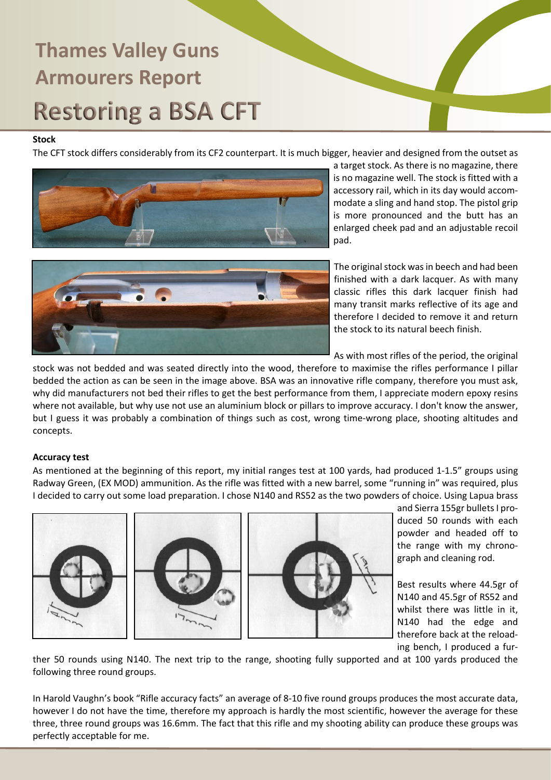### **Stock**

The CFT stock differs considerably from its CF2 counterpart. It is much bigger, heavier and designed from the outset as



a target stock. As there is no magazine, there is no magazine well. The stock is fitted with a accessory rail, which in its day would accommodate a sling and hand stop. The pistol grip is more pronounced and the butt has an enlarged cheek pad and an adjustable recoil pad.



The original stock was in beech and had been finished with a dark lacquer. As with many classic rifles this dark lacquer finish had many transit marks reflective of its age and therefore I decided to remove it and return the stock to its natural beech finish.

As with most rifles of the period, the original

stock was not bedded and was seated directly into the wood, therefore to maximise the rifles performance I pillar bedded the action as can be seen in the image above. BSA was an innovative rifle company, therefore you must ask, why did manufacturers not bed their rifles to get the best performance from them, I appreciate modern epoxy resins where not available, but why use not use an aluminium block or pillars to improve accuracy. I don't know the answer, but I guess it was probably a combination of things such as cost, wrong time-wrong place, shooting altitudes and concepts.

### **Accuracy test**

As mentioned at the beginning of this report, my initial ranges test at 100 yards, had produced 1-1.5" groups using Radway Green, (EX MOD) ammunition. As the rifle was fitted with a new barrel, some "running in" was required, plus I decided to carry out some load preparation. I chose N140 and RS52 as the two powders of choice. Using Lapua brass







and Sierra 155gr bullets I produced 50 rounds with each powder and headed off to the range with my chronograph and cleaning rod.

Best results where 44.5gr of N140 and 45.5gr of RS52 and whilst there was little in it, N140 had the edge and therefore back at the reloading bench, I produced a fur-

ther 50 rounds using N140. The next trip to the range, shooting fully supported and at 100 yards produced the following three round groups.

In Harold Vaughn's book "Rifle accuracy facts" an average of 8-10 five round groups produces the most accurate data, however I do not have the time, therefore my approach is hardly the most scientific, however the average for these three, three round groups was 16.6mm. The fact that this rifle and my shooting ability can produce these groups was perfectly acceptable for me.